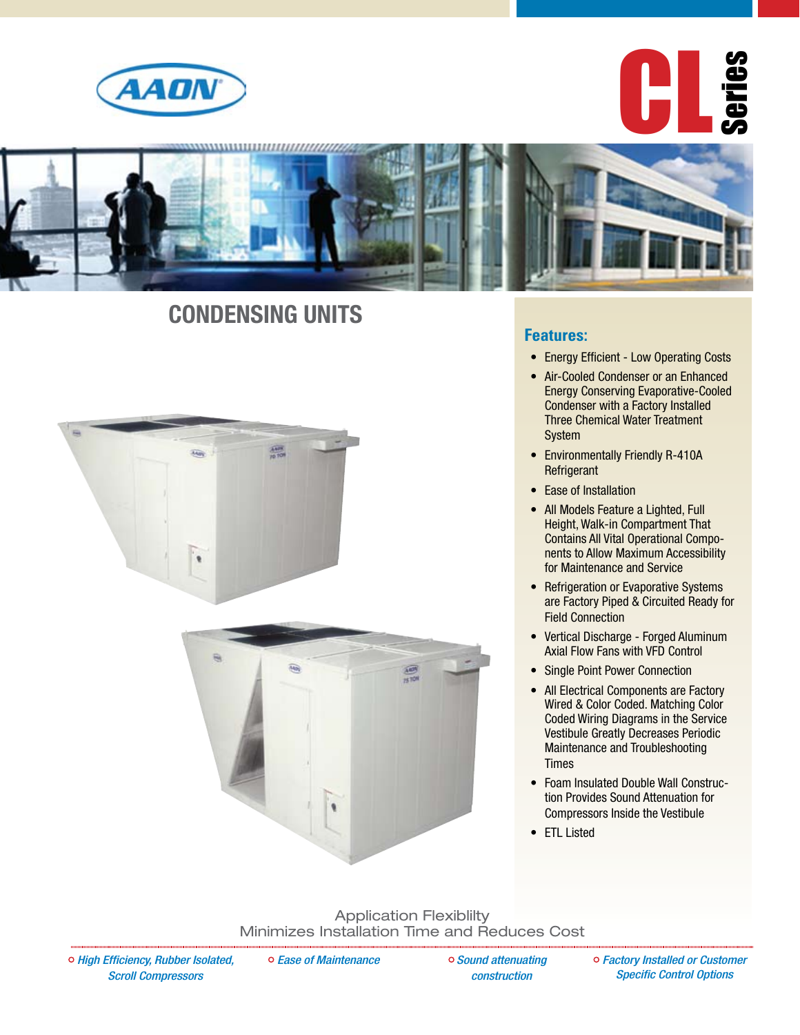

CL Series



## **Condensing Units**





#### **Features:**

- Energy Efficient Low Operating Costs
- Air-Cooled Condenser or an Enhanced Energy Conserving Evaporative-Cooled Condenser with a Factory Installed Three Chemical Water Treatment System
- Environmentally Friendly R-410A **Refrigerant**
- Ease of Installation
- All Models Feature a Lighted, Full Height, Walk-in Compartment That Contains All Vital Operational Components to Allow Maximum Accessibility for Maintenance and Service
- Refrigeration or Evaporative Systems are Factory Piped & Circuited Ready for Field Connection
- • Vertical Discharge Forged Aluminum Axial Flow Fans with VFD Control
- Single Point Power Connection
- All Electrical Components are Factory Wired & Color Coded. Matching Color Coded Wiring Diagrams in the Service Vestibule Greatly Decreases Periodic Maintenance and Troubleshooting Times
- Foam Insulated Double Wall Construction Provides Sound Attenuation for Compressors Inside the Vestibule
- ETL Listed

Application Flexiblilty Minimizes Installation Time and Reduces Cost

*Ease of Maintenance Sound attenuating* 

*construction*

*Factory Installed or Customer Specific Control Options*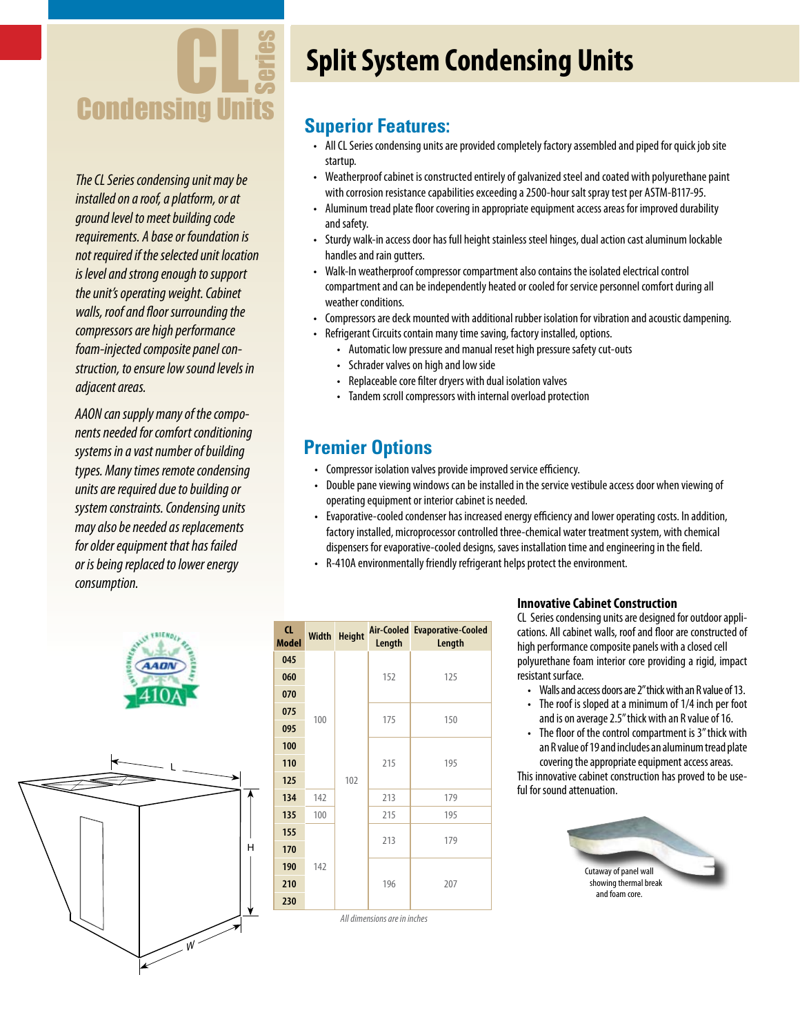

*The CL Series condensing unit may be installed on a roof, a platform, or at ground level to meet building code requirements. A base or foundation is not required if the selected unit location is level and strong enough to support the unit's operating weight. Cabinet walls, roof and floor surrounding the compressors are high performance foam-injected composite panel construction, to ensure low sound levels in adjacent areas.*

*AAON can supply many of the components needed for comfort conditioning systems in a vast number of building types. Many times remote condensing units are required due to building or system constraints. Condensing units may also be needed as replacements for older equipment that has failed or is being replaced to lower energy consumption.*





# **Split System Condensing Units**

### **Superior Features:**

- All CL Series condensing units are provided completely factory assembled and piped for quick job site startup.
- Weatherproof cabinet is constructed entirely of galvanized steel and coated with polyurethane paint with corrosion resistance capabilities exceeding a 2500-hour salt spray test per ASTM-B117-95.
- Aluminum tread plate floor covering in appropriate equipment access areas for improved durability and safety.
- Sturdy walk-in access door has full height stainless steel hinges, dual action cast aluminum lockable handles and rain gutters.
- Walk-In weatherproof compressor compartment also contains the isolated electrical control compartment and can be independently heated or cooled for service personnel comfort during all weather conditions.
- Compressors are deck mounted with additional rubber isolation for vibration and acoustic dampening.
- Refrigerant Circuits contain many time saving, factory installed, options.
	- Automatic low pressure and manual reset high pressure safety cut-outs
	- Schrader valves on high and low side
	- Replaceable core filter dryers with dual isolation valves
	- Tandem scroll compressors with internal overload protection

### **Premier Options**

- Compressor isolation valves provide improved service efficiency.
- Double pane viewing windows can be installed in the service vestibule access door when viewing of operating equipment or interior cabinet is needed.
- Evaporative-cooled condenser has increased energy efficiency and lower operating costs. In addition, factory installed, microprocessor controlled three-chemical water treatment system, with chemical dispensers for evaporative-cooled designs, saves installation time and engineering in the field.
- R-410A environmentally friendly refrigerant helps protect the environment.

| <b>CL</b><br><b>Model</b>    |            | Width Height | Length | Air-Cooled Evaporative-Cooled<br>Length |
|------------------------------|------------|--------------|--------|-----------------------------------------|
| 045                          | 100        | 102          |        |                                         |
| 060                          |            |              | 152    | 125                                     |
| 070                          |            |              |        |                                         |
| 075                          |            |              | 175    | 150                                     |
| 095                          |            |              |        |                                         |
| 100                          |            |              |        |                                         |
| 110                          |            |              | 215    | 195                                     |
| 125                          |            |              |        |                                         |
| 134                          | 142<br>100 |              | 213    | 179                                     |
| 135                          |            |              | 215    | 195                                     |
| 155                          | 142        |              | 213    | 179                                     |
| 170                          |            |              |        |                                         |
| 190                          |            |              | 196    | 207                                     |
| 210                          |            |              |        |                                         |
| 230                          |            |              |        |                                         |
| All dimensions are in inches |            |              |        |                                         |

#### **Innovative Cabinet Construction**

CL Series condensing units are designed for outdoor applications. All cabinet walls, roof and floor are constructed of high performance composite panels with a closed cell polyurethane foam interior core providing a rigid, impact resistant surface.

- Walls and access doors are 2" thick with an R value of 13.
- The roof is sloped at a minimum of 1/4 inch per foot and is on average 2.5" thick with an R value of 16.
- The floor of the control compartment is 3" thick with an R value of 19 and includes an aluminum tread plate covering the appropriate equipment access areas.

This innovative cabinet construction has proved to be useful for sound attenuation.

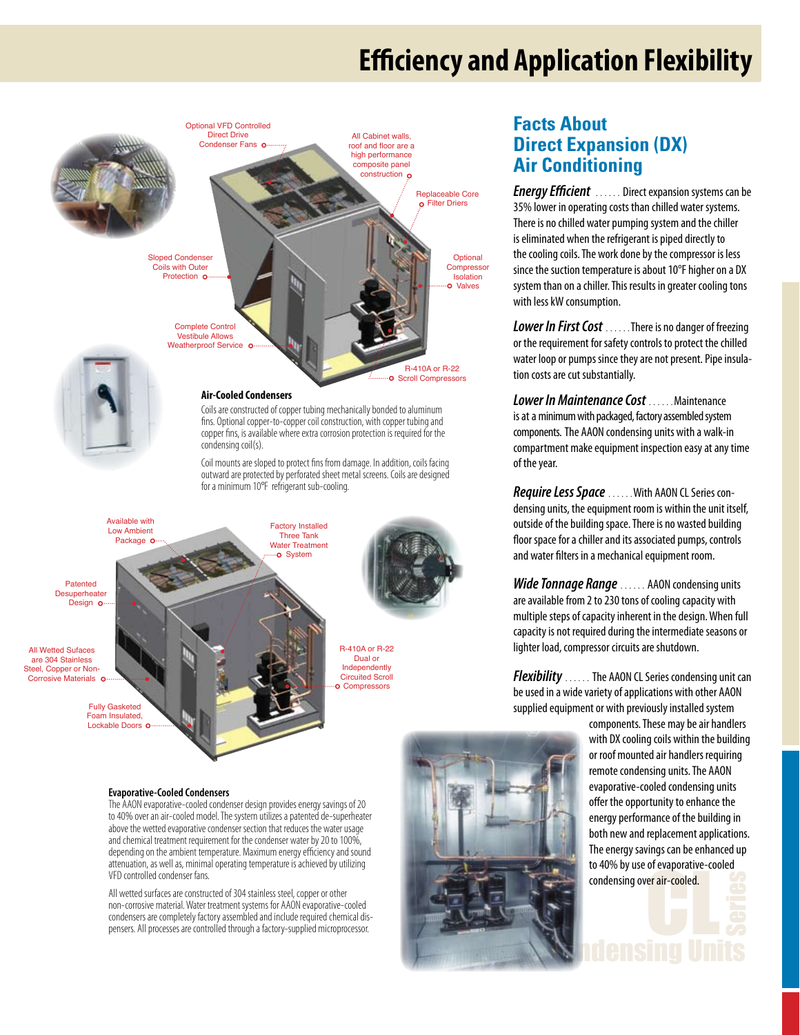## **Efficiency and Application Flexibility**



#### **Air-Cooled Condensers**

Coils are constructed of copper tubing mechanically bonded to aluminum fins. Optional copper-to-copper coil construction, with copper tubing and copper fins, is available where extra corrosion protection is required for the condensing coil(s).

Coil mounts are sloped to protect fins from damage. In addition, coils facing outward are protected by perforated sheet metal screens. Coils are designed for a minimum 10°F refrigerant sub-cooling.



### **Facts About Direct Expansion (DX) Air Conditioning**

*Energy Efficient* ...... Direct expansion systems can be 35% lower in operating costs than chilled water systems. There is no chilled water pumping system and the chiller is eliminated when the refrigerant is piped directly to the cooling coils. The work done by the compressor is less since the suction temperature is about 10°F higher on a DX system than on a chiller. This results in greater cooling tons with less kW consumption.

**Lower In First Cost** ......There is no danger of freezing or the requirement for safety controls to protect the chilled water loop or pumps since they are not present. Pipe insulation costs are cut substantially.

*Lower In Maintenance Cost* ……Maintenance is at a minimum with packaged, factory assembled system components. The AAON condensing units with a walk-in compartment make equipment inspection easy at any time of the year.

*Require Less Space* ……With AAON CLSeries condensing units, the equipment room is within the unit itself, outside of the building space. There is no wasted building floor space for a chiller and its associated pumps, controls and water filters in a mechanical equipment room.

**Wide Tonnage Range** ...... AAON condensing units are available from 2 to 230 tons of cooling capacity with multiple steps of capacity inherent in the design. When full capacity is not required during the intermediate seasons or lighter load, compressor circuits are shutdown.

*Flexibility* ...... The AAON CL Series condensing unit can be used in a wide variety of applications with other AAON supplied equipment or with previously installed system

> condensing over air-cooled. **Condensing over air-cooled.**<br>Condensing Units<br>Series and **Condensing Units** components. These may be air handlers with DX cooling coils within the building or roof mounted air handlers requiring remote condensing units. The AAON evaporative-cooled condensing units offer the opportunity to enhance the energy performance of the building in both new and replacement applications. The energy savings can be enhanced up to 40% by use of evaporative-cooled



#### **Evaporative-Cooled Condensers**

Fully Gasketed Foam Insulated, Lockable Doors o

> The AAON evaporative-cooled condenser design provides energy savings of 20 to 40% over an air-cooled model. The system utilizes a patented de-superheater above the wetted evaporative condenser section that reduces the water usage and chemical treatment requirement for the condenser water by 20 to 100%, depending on the ambient temperature. Maximum energy efficiency and sound attenuation, as well as, minimal operating temperature is achieved by utilizing VFD controlled condenser fans.

> All wetted surfaces are constructed of 304 stainless steel, copper or other non-corrosive material. Water treatment systems for AAON evaporative-cooled condensers are completely factory assembled and include required chemical dispensers. All processes are controlled through a factory-supplied microprocessor.